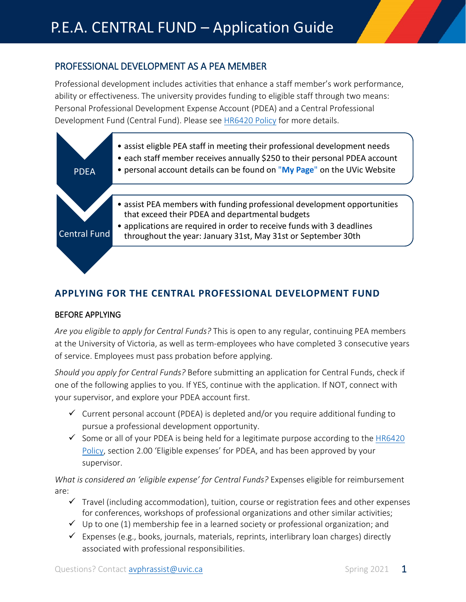# PROFESSIONAL DEVELOPMENT AS A PEA MEMBER

Professional development includes activities that enhance a staff member's work performance, ability or effectiveness. The university provides funding to eligible staff through two means: Personal Professional Development Expense Account (PDEA) and a Central Professional Development Fund (Central Fund). Please see [HR6420 Policy](https://www.uvic.ca/hr/assets/blocks/content/accordions/pea-pro-d-expense-policyhr6420---updated-link-2017.pdf) for more details.



# **APPLYING FOR THE CENTRAL PROFESSIONAL DEVELOPMENT FUND**

### BEFORE APPLYING

*Are you eligible to apply for Central Funds?* This is open to any regular, continuing PEA members at the University of Victoria, as well as term-employees who have completed 3 consecutive years of service. Employees must pass probation before applying.

*Should you apply for Central Funds?* Before submitting an application for Central Funds, check if one of the following applies to you. If YES, continue with the application. If NOT, connect with your supervisor, and explore your PDEA account first.

- $\checkmark$  Current personal account (PDEA) is depleted and/or you require additional funding to pursue a professional development opportunity.
- $\checkmark$  Some or all of your PDEA is being held for a legitimate purpose according to th[e HR6420](https://www.uvic.ca/hr/assets/blocks/content/accordions/pea-pro-d-expense-policyhr6420---updated-link-2017.pdf) [Policy,](https://www.uvic.ca/hr/assets/blocks/content/accordions/pea-pro-d-expense-policyhr6420---updated-link-2017.pdf) section 2.00 'Eligible expenses' for PDEA, and has been approved by your supervisor.

*What is considered an 'eligible expense' for Central Funds?* Expenses eligible for reimbursement are:

- $\checkmark$  Travel (including accommodation), tuition, course or registration fees and other expenses for conferences, workshops of professional organizations and other similar activities;
- $\checkmark$  Up to one (1) membership fee in a learned society or professional organization; and
- $\checkmark$  Expenses (e.g., books, journals, materials, reprints, interlibrary loan charges) directly associated with professional responsibilities.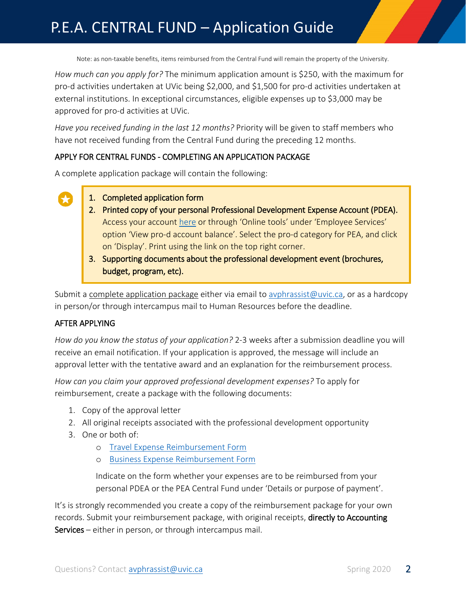# P.E.A. CENTRAL FUND – Application Guide

Note: as non-taxable benefits, items reimbursed from the Central Fund will remain the property of the University.

*How much can you apply for?* The minimum application amount is \$250, with the maximum for pro-d activities undertaken at UVic being \$2,000, and \$1,500 for pro-d activities undertaken at external institutions. In exceptional circumstances, eligible expenses up to \$3,000 may be approved for pro-d activities at UVic.

*Have you received funding in the last 12 months?* Priority will be given to staff members who have not received funding from the Central Fund during the preceding 12 months.

### APPLY FOR CENTRAL FUNDS - COMPLETING AN APPLICATION PACKAGE

A complete application package will contain the following:

- 1. Completed application form
	- 2. Printed copy of your personal Professional Development Expense Account (PDEA). Access your account [here](file://netdrive.uvic.ca/humr/Labour%20Relations%20Shared/PEA/article%2020%20-%20Professional%20Development/20.03%20Pro%20D%20Funds/current/Forms/Draft%20new%20version/here,) or through 'Online tools' under 'Employee Services' option 'View pro-d account balance'. Select the pro-d category for PEA, and click on 'Display'. Print using the link on the top right corner.
	- 3. Supporting documents about the professional development event (brochures, budget, program, etc).

Submit a complete application package either via email to [avphrassist@uvic.ca,](mailto:avphrassist@uvic.ca) or as a hardcopy in person/or through intercampus mail to Human Resources before the deadline.

### AFTER APPLYING

*How do you know the status of your application?* 2-3 weeks after a submission deadline you will receive an email notification. If your application is approved, the message will include an approval letter with the tentative award and an explanation for the reimbursement process.

*How can you claim your approved professional development expenses?* To apply for reimbursement, create a package with the following documents:

- 1. Copy of the approval letter
- 2. All original receipts associated with the professional development opportunity
- 3. One or both of:
	- o [Travel Expense Reimbursement Form](https://www.uvic.ca/vpfo/accounting/forms/index.php)
	- o [Business Expense Reimbursement Form](https://www.uvic.ca/vpfo/accounting/forms/index.php)

Indicate on the form whether your expenses are to be reimbursed from your personal PDEA or the PEA Central Fund under 'Details or purpose of payment'.

It's is strongly recommended you create a copy of the reimbursement package for your own records. Submit your reimbursement package, with original receipts, directly to Accounting Services – either in person, or through intercampus mail.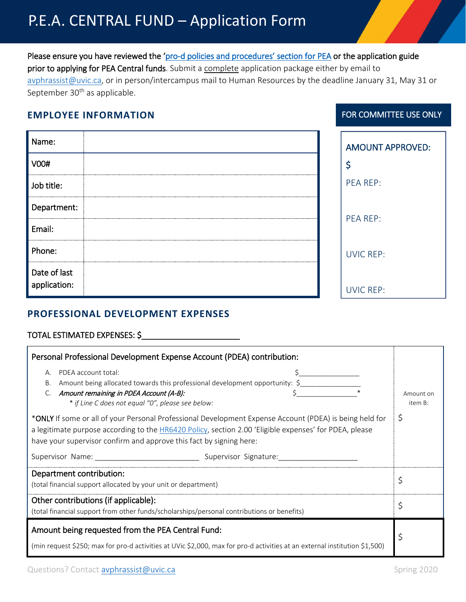# P.E.A. CENTRAL FUND – Application Form

Please ensure you have reviewed the ['pro-d policies and procedures' section](https://www.uvic.ca/hr/pay-benefits/pro-d/index.php) for PEA or the application guide prior to applying for PEA Central funds. Submit a complete application package either by email to [avphrassist@uvic.ca,](mailto:avphrassist@uvic.ca) or in person/intercampus mail to Human Resources by the deadline January 31, May 31 or September 30<sup>th</sup> as applicable.

### **EMPLOYEE INFORMATION**

| Name:                                      | <b>AMOUNT APPROVED:</b> |
|--------------------------------------------|-------------------------|
| V00#                                       |                         |
| Job title:                                 | PEA REP:                |
| Department:                                |                         |
| Email:                                     | PEA REP:                |
| Phone:                                     | <b>UVIC REP:</b>        |
| Date of last<br>$\frac{1}{2}$ application: | <b>UVIC REP:</b>        |

# **PROFESSIONAL DEVELOPMENT EXPENSES**

## TOTAL ESTIMATED EXPENSES: \$\_\_\_\_\_\_\_\_\_\_\_\_\_\_\_\_\_\_\_\_\_\_

| Personal Professional Development Expense Account (PDEA) contribution:                                                                                                                                                                                                                           |                      |  |
|--------------------------------------------------------------------------------------------------------------------------------------------------------------------------------------------------------------------------------------------------------------------------------------------------|----------------------|--|
| PDEA account total:<br>А.<br>Amount being allocated towards this professional development opportunity: \$<br>В.<br>Amount remaining in PDEA Account (A-B):<br>C.<br>* if Line C does not equal "0", please see below:                                                                            | Amount on<br>item B: |  |
| *ONLY If some or all of your Personal Professional Development Expense Account (PDEA) is being held for<br>a legitimate purpose according to the <b>HR6420 Policy</b> , section 2.00 'Eligible expenses' for PDEA, please<br>have your supervisor confirm and approve this fact by signing here: |                      |  |
| Supervisor Name:<br>Supervisor Signature:                                                                                                                                                                                                                                                        |                      |  |
| Department contribution:<br>(total financial support allocated by your unit or department)                                                                                                                                                                                                       |                      |  |
| Other contributions (if applicable):<br>(total financial support from other funds/scholarships/personal contributions or benefits)                                                                                                                                                               |                      |  |
| Amount being requested from the PEA Central Fund:<br>(min request \$250; max for pro-d activities at UVic \$2,000, max for pro-d activities at an external institution \$1,500)                                                                                                                  |                      |  |

FOR COMMITTEE USE ONLY